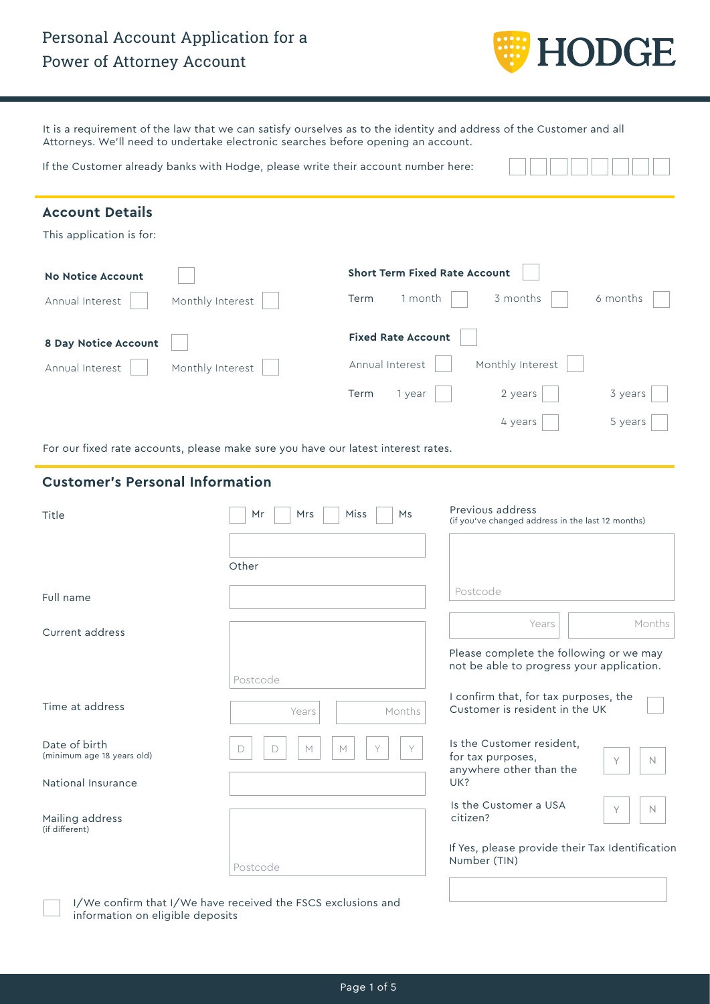# Personal Account Application for a Power of Attorney Account



It is a requirement of the law that we can satisfy ourselves as to the identity and address of the Customer and all Attorneys. We'll need to undertake electronic searches before opening an account.

If the Customer already banks with Hodge, please write their account number here:

| <b>Account Details</b>                                                            |                       |                                      |                                                                                      |  |  |  |  |
|-----------------------------------------------------------------------------------|-----------------------|--------------------------------------|--------------------------------------------------------------------------------------|--|--|--|--|
| This application is for:                                                          |                       |                                      |                                                                                      |  |  |  |  |
| <b>No Notice Account</b>                                                          |                       | <b>Short Term Fixed Rate Account</b> |                                                                                      |  |  |  |  |
| Annual Interest                                                                   | Monthly Interest      | 1 month<br>Term                      | 3 months<br>6 months                                                                 |  |  |  |  |
| 8 Day Notice Account                                                              |                       | <b>Fixed Rate Account</b>            |                                                                                      |  |  |  |  |
| Annual Interest<br>Monthly Interest                                               |                       | Annual Interest<br>Monthly Interest  |                                                                                      |  |  |  |  |
|                                                                                   |                       | Term<br>1 year                       | 2 years<br>3 years                                                                   |  |  |  |  |
|                                                                                   |                       |                                      | 5 years<br>4 years                                                                   |  |  |  |  |
| For our fixed rate accounts, please make sure you have our latest interest rates. |                       |                                      |                                                                                      |  |  |  |  |
| <b>Customer's Personal Information</b>                                            |                       |                                      |                                                                                      |  |  |  |  |
| Title                                                                             | Mrs<br>Mr             | Miss<br>Ms                           | Previous address<br>(if you've changed address in the last 12 months)                |  |  |  |  |
|                                                                                   |                       |                                      |                                                                                      |  |  |  |  |
|                                                                                   | Other                 |                                      |                                                                                      |  |  |  |  |
| Full name                                                                         |                       |                                      | Postcode                                                                             |  |  |  |  |
| Current address                                                                   |                       |                                      | Months<br>Years                                                                      |  |  |  |  |
|                                                                                   | Postcode              |                                      | Please complete the following or we may<br>not be able to progress your application. |  |  |  |  |
| Time at address                                                                   | Years                 | Months                               | I confirm that, for tax purposes, the<br>Customer is resident in the UK              |  |  |  |  |
| Date of birth<br>(minimum age 18 years old)                                       | D<br>$\Box$<br>M<br>M |                                      | Is the Customer resident,<br>for tax purposes,<br>Υ<br>N.<br>anywhere other than the |  |  |  |  |
| National Insurance                                                                |                       |                                      | UK?                                                                                  |  |  |  |  |
| Mailing address<br>(if different)                                                 |                       |                                      | Is the Customer a USA<br>$\mathbb N$<br>Y<br>citizen?                                |  |  |  |  |
|                                                                                   |                       |                                      | If Yes, please provide their Tax Identification<br>Number (TIN)                      |  |  |  |  |

I/We confirm that I/We have received the FSCS exclusions and information on eligible deposits

Postcode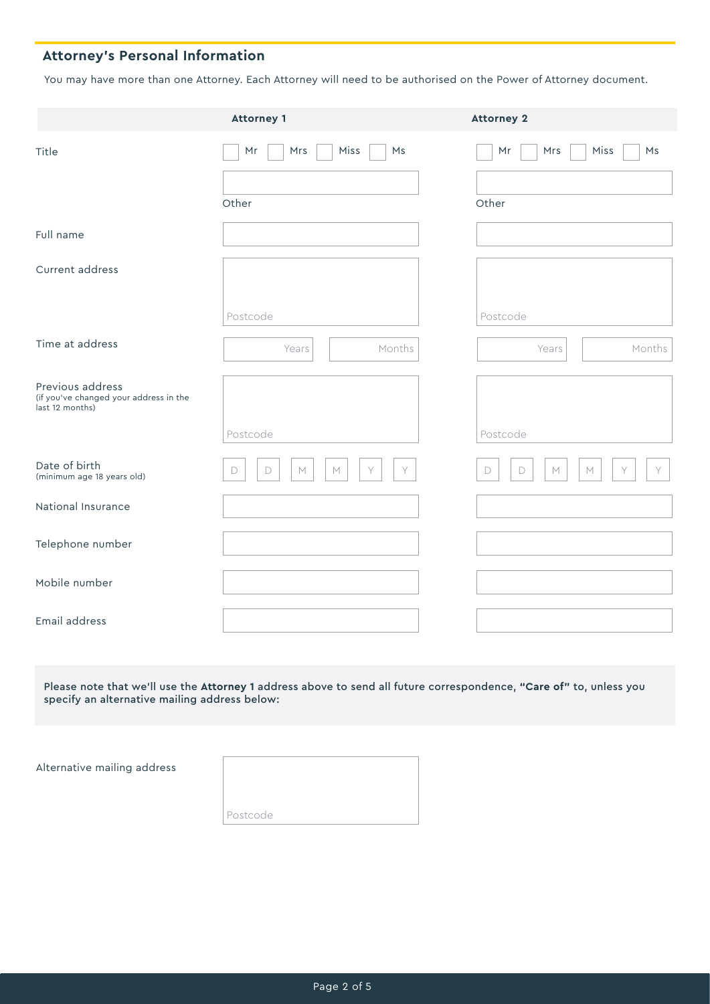## **Attorney's Personal Information**

You may have more than one Attorney. Each Attorney will need to be authorised on the Power of Attorney document.

|                                                                               | <b>Attorney 1</b>                              | <b>Attorney 2</b>                    |  |  |
|-------------------------------------------------------------------------------|------------------------------------------------|--------------------------------------|--|--|
| Title                                                                         | Miss<br>Mrs<br>Ms<br>Mr<br>Other               | Miss<br>Ms<br>Mr<br>Mrs<br>Other     |  |  |
|                                                                               |                                                |                                      |  |  |
| Full name                                                                     |                                                |                                      |  |  |
| Current address                                                               |                                                |                                      |  |  |
|                                                                               | Postcode                                       | Postcode                             |  |  |
| Time at address                                                               | Months<br>Years                                | Months<br>Years                      |  |  |
| Previous address<br>(if you've changed your address in the<br>last 12 months) |                                                |                                      |  |  |
|                                                                               | Postcode                                       | Postcode                             |  |  |
| Date of birth<br>(minimum age 18 years old)                                   | Y<br>$\mathsf D$<br>$\mathbb M$<br>Y<br>D<br>M | Y<br>Y<br>$\mathsf D$<br>D<br>M<br>M |  |  |
| National Insurance                                                            |                                                |                                      |  |  |
| Telephone number                                                              |                                                |                                      |  |  |
| Mobile number                                                                 |                                                |                                      |  |  |
| Email address                                                                 |                                                |                                      |  |  |
|                                                                               |                                                |                                      |  |  |

Please note that we'll use the **Attorney 1** address above to send all future correspondence, **"Care of"** to, unless you specify an alternative mailing address below:

Alternative mailing address

Postcode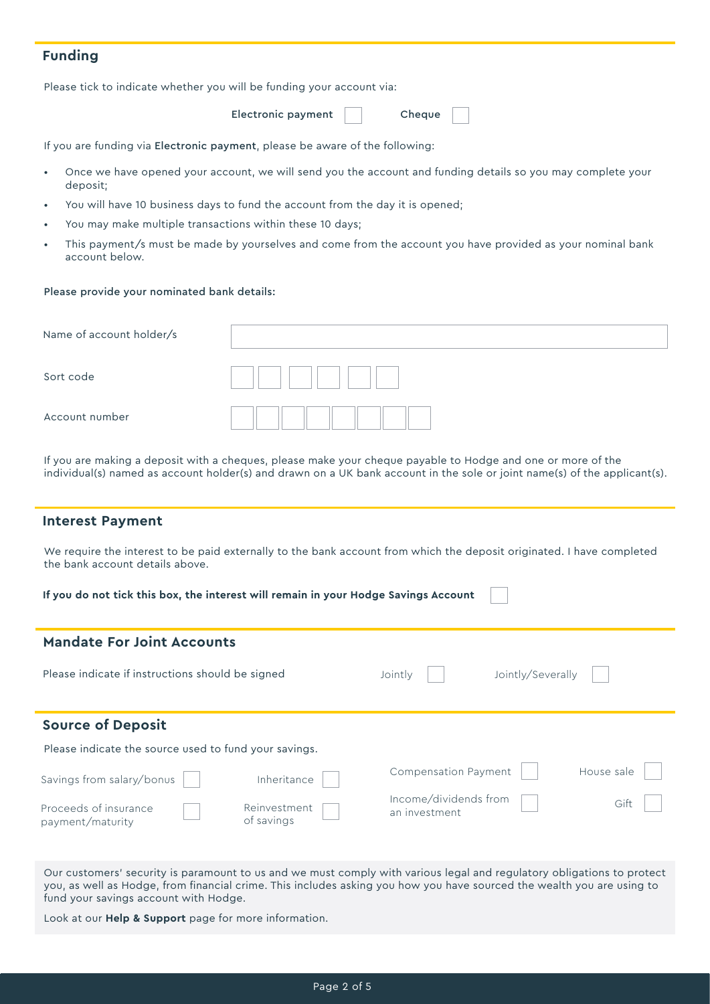### **Funding**

Please tick to indicate whether you will be funding your account via:

Electronic payment

Cheque

If you are funding via Electronic payment, please be aware of the following:

- Once we have opened your account, we will send you the account and funding details so you may complete your deposit;
- You will have 10 business days to fund the account from the day it is opened;
- You may make multiple transactions within these 10 days;
- This payment/s must be made by yourselves and come from the account you have provided as your nominal bank account below.

#### Please provide your nominated bank details:

| Name of account holder/s |  |
|--------------------------|--|
| Sort code                |  |
| Account number           |  |

If you are making a deposit with a cheques, please make your cheque payable to Hodge and one or more of the individual(s) named as account holder(s) and drawn on a UK bank account in the sole or joint name(s) of the applicant(s).

#### **Interest Payment**

We require the interest to be paid externally to the bank account from which the deposit originated. I have completed the bank account details above.

| If you do not tick this box, the interest will remain in your Hodge Savings Account |                            |                                        |                   |            |  |  |  |
|-------------------------------------------------------------------------------------|----------------------------|----------------------------------------|-------------------|------------|--|--|--|
| <b>Mandate For Joint Accounts</b>                                                   |                            |                                        |                   |            |  |  |  |
| Please indicate if instructions should be signed                                    |                            | Jointly                                | Jointly/Severally |            |  |  |  |
| <b>Source of Deposit</b>                                                            |                            |                                        |                   |            |  |  |  |
| Please indicate the source used to fund your savings.                               |                            |                                        |                   |            |  |  |  |
| Savings from salary/bonus                                                           | Inheritance                | Compensation Payment                   |                   | House sale |  |  |  |
| Proceeds of insurance<br>payment/maturity                                           | Reinvestment<br>of savings | Income/dividends from<br>an investment |                   | Gift       |  |  |  |
|                                                                                     |                            |                                        |                   |            |  |  |  |

Our customers' security is paramount to us and we must comply with various legal and regulatory obligations to protect you, as well as Hodge, from financial crime. This includes asking you how you have sourced the wealth you are using to fund your savings account with Hodge.

Look at our **Help & Support** page for more information.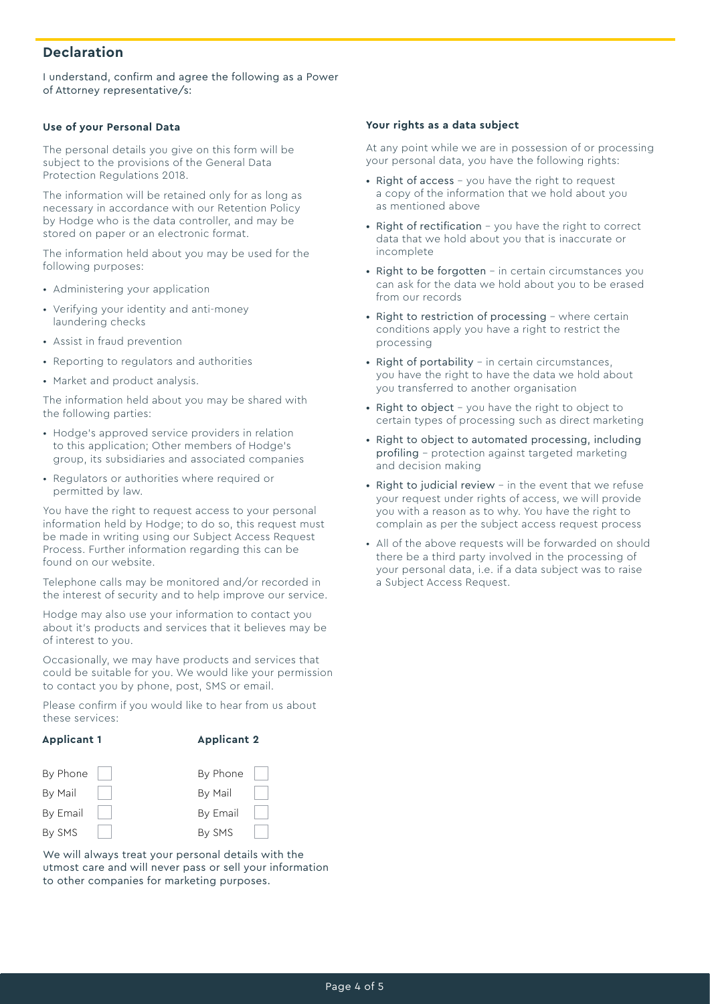### **Declaration**

I understand, confirm and agree the following as a Power of Attorney representative/s:

#### **Use of your Personal Data**

The personal details you give on this form will be subject to the provisions of the General Data Protection Regulations 2018.

The information will be retained only for as long as necessary in accordance with our Retention Policy by Hodge who is the data controller, and may be stored on paper or an electronic format.

The information held about you may be used for the following purposes:

- Administering your application
- Verifying your identity and anti-money laundering checks
- Assist in fraud prevention
- Reporting to regulators and authorities
- Market and product analysis.

The information held about you may be shared with the following parties:

- Hodge's approved service providers in relation to this application; Other members of Hodge's group, its subsidiaries and associated companies
- Regulators or authorities where required or permitted by law.

You have the right to request access to your personal information held by Hodge; to do so, this request must be made in writing using our Subject Access Request Process. Further information regarding this can be found on our website.

Telephone calls may be monitored and/or recorded in the interest of security and to help improve our service.

Hodge may also use your information to contact you about it's products and services that it believes may be of interest to you.

Occasionally, we may have products and services that could be suitable for you. We would like your permission to contact you by phone, post, SMS or email.

Please confirm if you would like to hear from us about these services:

#### **Applicant 1**

#### **Applicant 2**



We will always treat your personal details with the utmost care and will never pass or sell your information to other companies for marketing purposes.

#### **Your rights as a data subject**

At any point while we are in possession of or processing your personal data, you have the following rights:

- Right of access you have the right to request a copy of the information that we hold about you as mentioned above
- Right of rectification you have the right to correct data that we hold about you that is inaccurate or incomplete
- Right to be forgotten in certain circumstances you can ask for the data we hold about you to be erased from our records
- Right to restriction of processing where certain conditions apply you have a right to restrict the processing
- Right of portability in certain circumstances, you have the right to have the data we hold about you transferred to another organisation
- Right to object you have the right to object to certain types of processing such as direct marketing
- Right to object to automated processing, including profiling – protection against targeted marketing and decision making
- Right to judicial review in the event that we refuse your request under rights of access, we will provide you with a reason as to why. You have the right to complain as per the subject access request process
- All of the above requests will be forwarded on should there be a third party involved in the processing of your personal data, i.e. if a data subject was to raise a Subject Access Request.